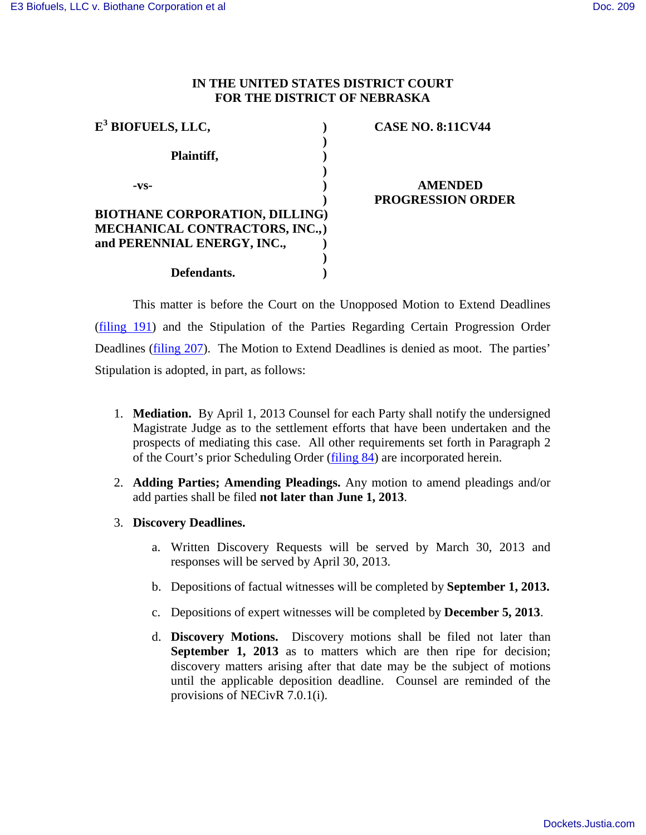# **IN THE UNITED STATES DISTRICT COURT FOR THE DISTRICT OF NEBRASKA**

| $E3$ BIOFUELS, LLC,                   | <b>CASE NO. 8:11CV44</b> |
|---------------------------------------|--------------------------|
|                                       |                          |
| Plaintiff,                            |                          |
|                                       |                          |
| -VS-                                  | <b>AMENDED</b>           |
|                                       | <b>PROGRESSION ORDER</b> |
| <b>BIOTHANE CORPORATION, DILLING)</b> |                          |
| MECHANICAL CONTRACTORS, INC.,)        |                          |
| and PERENNIAL ENERGY, INC.,           |                          |
|                                       |                          |
| Defendants.                           |                          |

This matter is before the Court on the Unopposed Motion to Extend Deadlines [\(filing 191\)](https://ecf.ned.uscourts.gov/doc1/11312770021) and the Stipulation of the Parties Regarding Certain Progression Order Deadlines [\(filing 207\)](https://ecf.ned.uscourts.gov/doc1/11312794447). The Motion to Extend Deadlines is denied as moot. The parties' Stipulation is adopted, in part, as follows:

- 1. **Mediation.** By April 1, 2013 Counsel for each Party shall notify the undersigned Magistrate Judge as to the settlement efforts that have been undertaken and the prospects of mediating this case. All other requirements set forth in Paragraph 2 of the Court's prior Scheduling Order [\(filing 84\)](https://ecf.ned.uscourts.gov/doc1/11312329844) are incorporated herein.
- 2. **Adding Parties; Amending Pleadings.** Any motion to amend pleadings and/or add parties shall be filed **not later than June 1, 2013**.
- 3. **Discovery Deadlines.**
	- a. Written Discovery Requests will be served by March 30, 2013 and responses will be served by April 30, 2013.
	- b. Depositions of factual witnesses will be completed by **September 1, 2013.**
	- c. Depositions of expert witnesses will be completed by **December 5, 2013**.
	- d. **Discovery Motions.** Discovery motions shall be filed not later than **September 1, 2013** as to matters which are then ripe for decision; discovery matters arising after that date may be the subject of motions until the applicable deposition deadline. Counsel are reminded of the provisions of NECivR 7.0.1(i).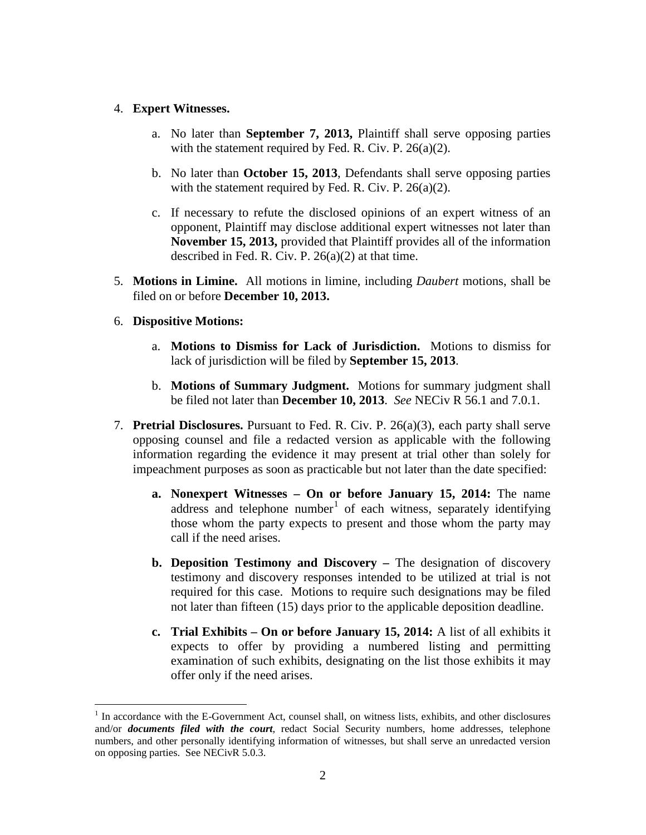### 4. **Expert Witnesses.**

- a. No later than **September 7, 2013,** Plaintiff shall serve opposing parties with the statement required by Fed. R. Civ. P. 26(a)(2).
- b. No later than **October 15, 2013**, Defendants shall serve opposing parties with the statement required by Fed. R. Civ. P. 26(a)(2).
- c. If necessary to refute the disclosed opinions of an expert witness of an opponent, Plaintiff may disclose additional expert witnesses not later than **November 15, 2013,** provided that Plaintiff provides all of the information described in Fed. R. Civ. P.  $26(a)(2)$  at that time.
- 5. **Motions in Limine.** All motions in limine, including *Daubert* motions, shall be filed on or before **December 10, 2013.**

### 6. **Dispositive Motions:**

 $\overline{a}$ 

- a. **Motions to Dismiss for Lack of Jurisdiction.** Motions to dismiss for lack of jurisdiction will be filed by **September 15, 2013**.
- b. **Motions of Summary Judgment.** Motions for summary judgment shall be filed not later than **December 10, 2013**. *See* NECiv R 56.1 and 7.0.1.
- 7. **Pretrial Disclosures.** Pursuant to Fed. R. Civ. P. 26(a)(3), each party shall serve opposing counsel and file a redacted version as applicable with the following information regarding the evidence it may present at trial other than solely for impeachment purposes as soon as practicable but not later than the date specified:
	- **a. Nonexpert Witnesses On or before January 15, 2014:** The name address and telephone number<sup>[1](#page-1-0)</sup> of each witness, separately identifying those whom the party expects to present and those whom the party may call if the need arises.
	- **b. Deposition Testimony and Discovery** The designation of discovery testimony and discovery responses intended to be utilized at trial is not required for this case. Motions to require such designations may be filed not later than fifteen (15) days prior to the applicable deposition deadline.
	- **c. Trial Exhibits On or before January 15, 2014:** A list of all exhibits it expects to offer by providing a numbered listing and permitting examination of such exhibits, designating on the list those exhibits it may offer only if the need arises.

<span id="page-1-0"></span><sup>&</sup>lt;sup>1</sup> In accordance with the E-Government Act, counsel shall, on witness lists, exhibits, and other disclosures and/or *documents filed with the court*, redact Social Security numbers, home addresses, telephone numbers, and other personally identifying information of witnesses, but shall serve an unredacted version on opposing parties. See NECivR 5.0.3.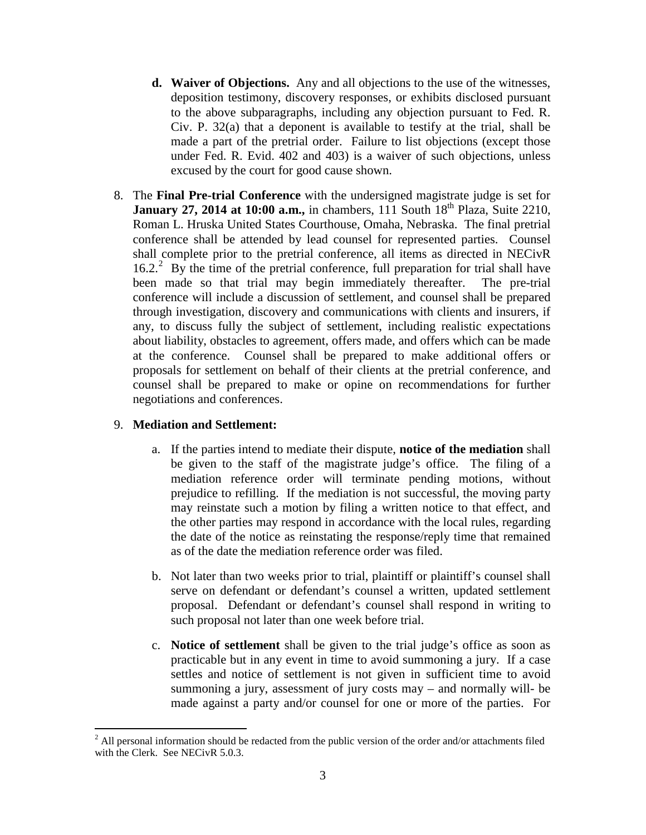- **d. Waiver of Objections.** Any and all objections to the use of the witnesses, deposition testimony, discovery responses, or exhibits disclosed pursuant to the above subparagraphs, including any objection pursuant to Fed. R. Civ. P. 32(a) that a deponent is available to testify at the trial, shall be made a part of the pretrial order. Failure to list objections (except those under Fed. R. Evid. 402 and 403) is a waiver of such objections, unless excused by the court for good cause shown.
- 8. The **Final Pre-trial Conference** with the undersigned magistrate judge is set for **January 27, 2014 at 10:00 a.m.,** in chambers, 111 South 18<sup>th</sup> Plaza, Suite 2210, Roman L. Hruska United States Courthouse, Omaha, Nebraska. The final pretrial conference shall be attended by lead counsel for represented parties. Counsel shall complete prior to the pretrial conference, all items as directed in NECivR 16.[2](#page-2-0).<sup>2</sup> By the time of the pretrial conference, full preparation for trial shall have been made so that trial may begin immediately thereafter. The pre-trial conference will include a discussion of settlement, and counsel shall be prepared through investigation, discovery and communications with clients and insurers, if any, to discuss fully the subject of settlement, including realistic expectations about liability, obstacles to agreement, offers made, and offers which can be made at the conference. Counsel shall be prepared to make additional offers or proposals for settlement on behalf of their clients at the pretrial conference, and counsel shall be prepared to make or opine on recommendations for further negotiations and conferences.

### 9. **Mediation and Settlement:**

- a. If the parties intend to mediate their dispute, **notice of the mediation** shall be given to the staff of the magistrate judge's office. The filing of a mediation reference order will terminate pending motions, without prejudice to refilling. If the mediation is not successful, the moving party may reinstate such a motion by filing a written notice to that effect, and the other parties may respond in accordance with the local rules, regarding the date of the notice as reinstating the response/reply time that remained as of the date the mediation reference order was filed.
- b. Not later than two weeks prior to trial, plaintiff or plaintiff's counsel shall serve on defendant or defendant's counsel a written, updated settlement proposal. Defendant or defendant's counsel shall respond in writing to such proposal not later than one week before trial.
- c. **Notice of settlement** shall be given to the trial judge's office as soon as practicable but in any event in time to avoid summoning a jury. If a case settles and notice of settlement is not given in sufficient time to avoid summoning a jury, assessment of jury costs may – and normally will- be made against a party and/or counsel for one or more of the parties. For

<span id="page-2-0"></span><sup>&</sup>lt;u>.</u>  $2$  All personal information should be redacted from the public version of the order and/or attachments filed with the Clerk. See NECivR 5.0.3.